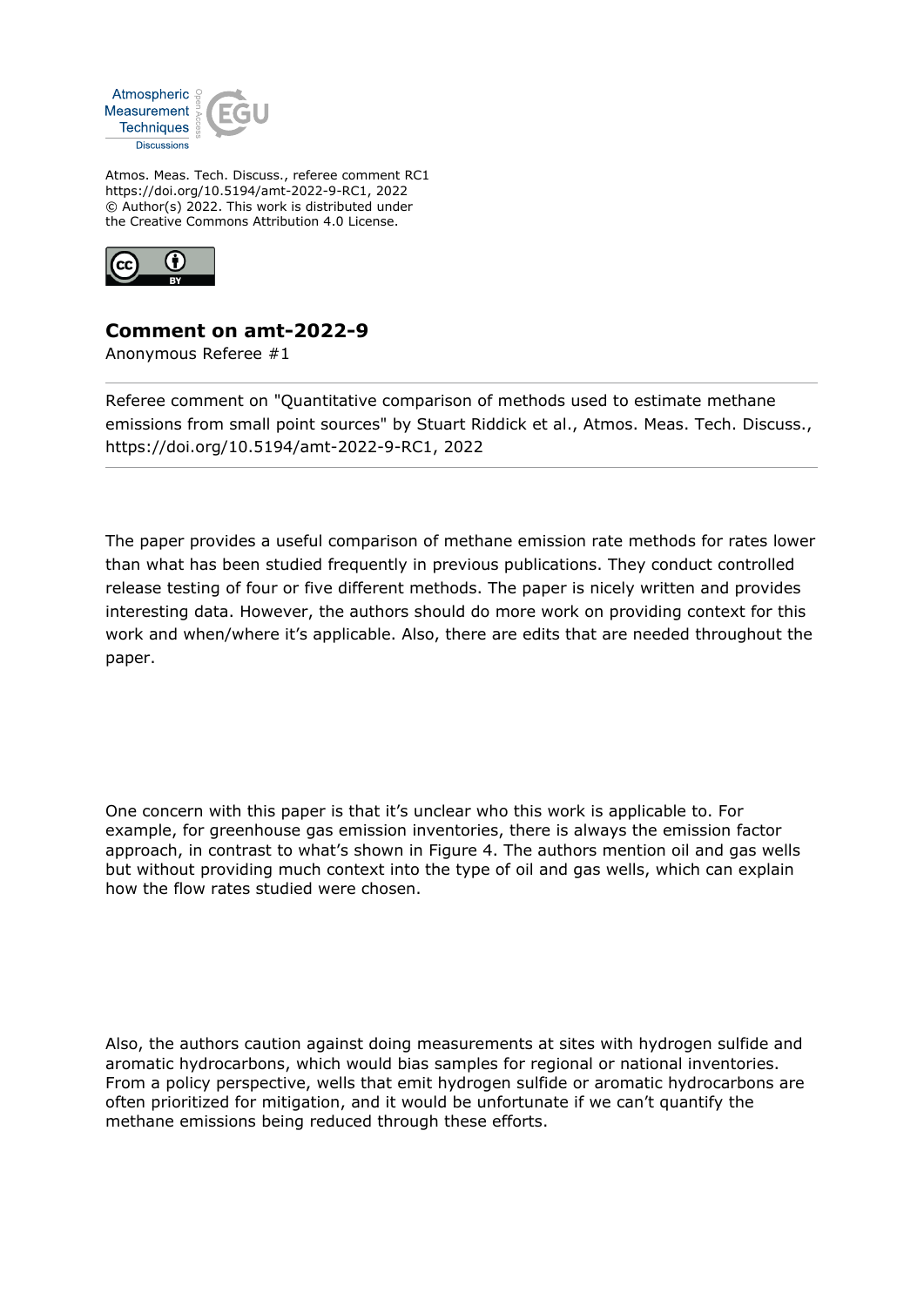

Atmos. Meas. Tech. Discuss., referee comment RC1 https://doi.org/10.5194/amt-2022-9-RC1, 2022 © Author(s) 2022. This work is distributed under the Creative Commons Attribution 4.0 License.



## **Comment on amt-2022-9**

Anonymous Referee #1

Referee comment on "Quantitative comparison of methods used to estimate methane emissions from small point sources" by Stuart Riddick et al., Atmos. Meas. Tech. Discuss., https://doi.org/10.5194/amt-2022-9-RC1, 2022

The paper provides a useful comparison of methane emission rate methods for rates lower than what has been studied frequently in previous publications. They conduct controlled release testing of four or five different methods. The paper is nicely written and provides interesting data. However, the authors should do more work on providing context for this work and when/where it's applicable. Also, there are edits that are needed throughout the paper.

One concern with this paper is that it's unclear who this work is applicable to. For example, for greenhouse gas emission inventories, there is always the emission factor approach, in contrast to what's shown in Figure 4. The authors mention oil and gas wells but without providing much context into the type of oil and gas wells, which can explain how the flow rates studied were chosen.

Also, the authors caution against doing measurements at sites with hydrogen sulfide and aromatic hydrocarbons, which would bias samples for regional or national inventories. From a policy perspective, wells that emit hydrogen sulfide or aromatic hydrocarbons are often prioritized for mitigation, and it would be unfortunate if we can't quantify the methane emissions being reduced through these efforts.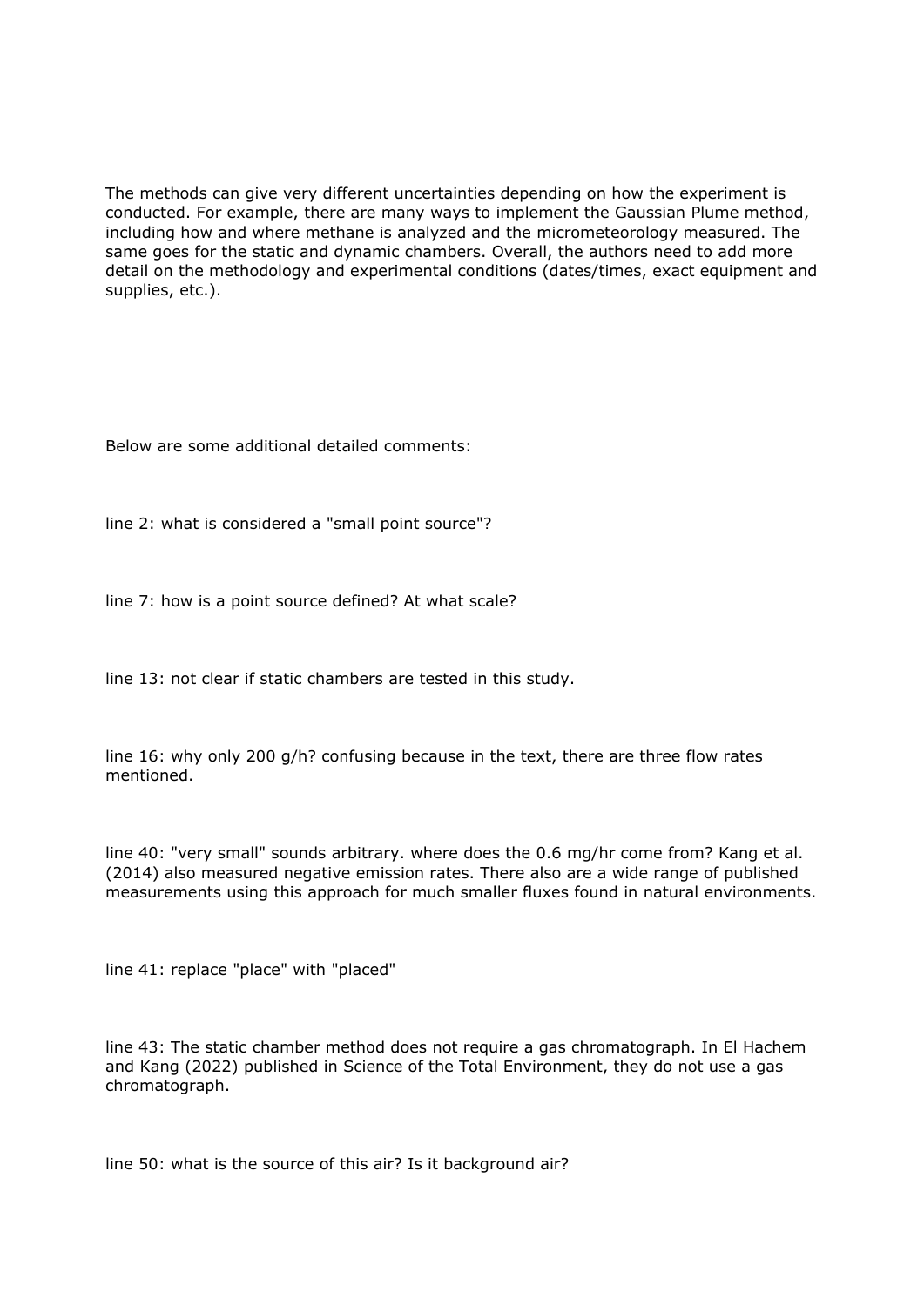The methods can give very different uncertainties depending on how the experiment is conducted. For example, there are many ways to implement the Gaussian Plume method, including how and where methane is analyzed and the micrometeorology measured. The same goes for the static and dynamic chambers. Overall, the authors need to add more detail on the methodology and experimental conditions (dates/times, exact equipment and supplies, etc.).

Below are some additional detailed comments:

line 2: what is considered a "small point source"?

line 7: how is a point source defined? At what scale?

line 13: not clear if static chambers are tested in this study.

line 16: why only 200 g/h? confusing because in the text, there are three flow rates mentioned.

line 40: "very small" sounds arbitrary. where does the 0.6 mg/hr come from? Kang et al. (2014) also measured negative emission rates. There also are a wide range of published measurements using this approach for much smaller fluxes found in natural environments.

line 41: replace "place" with "placed"

line 43: The static chamber method does not require a gas chromatograph. In El Hachem and Kang (2022) published in Science of the Total Environment, they do not use a gas chromatograph.

line 50: what is the source of this air? Is it background air?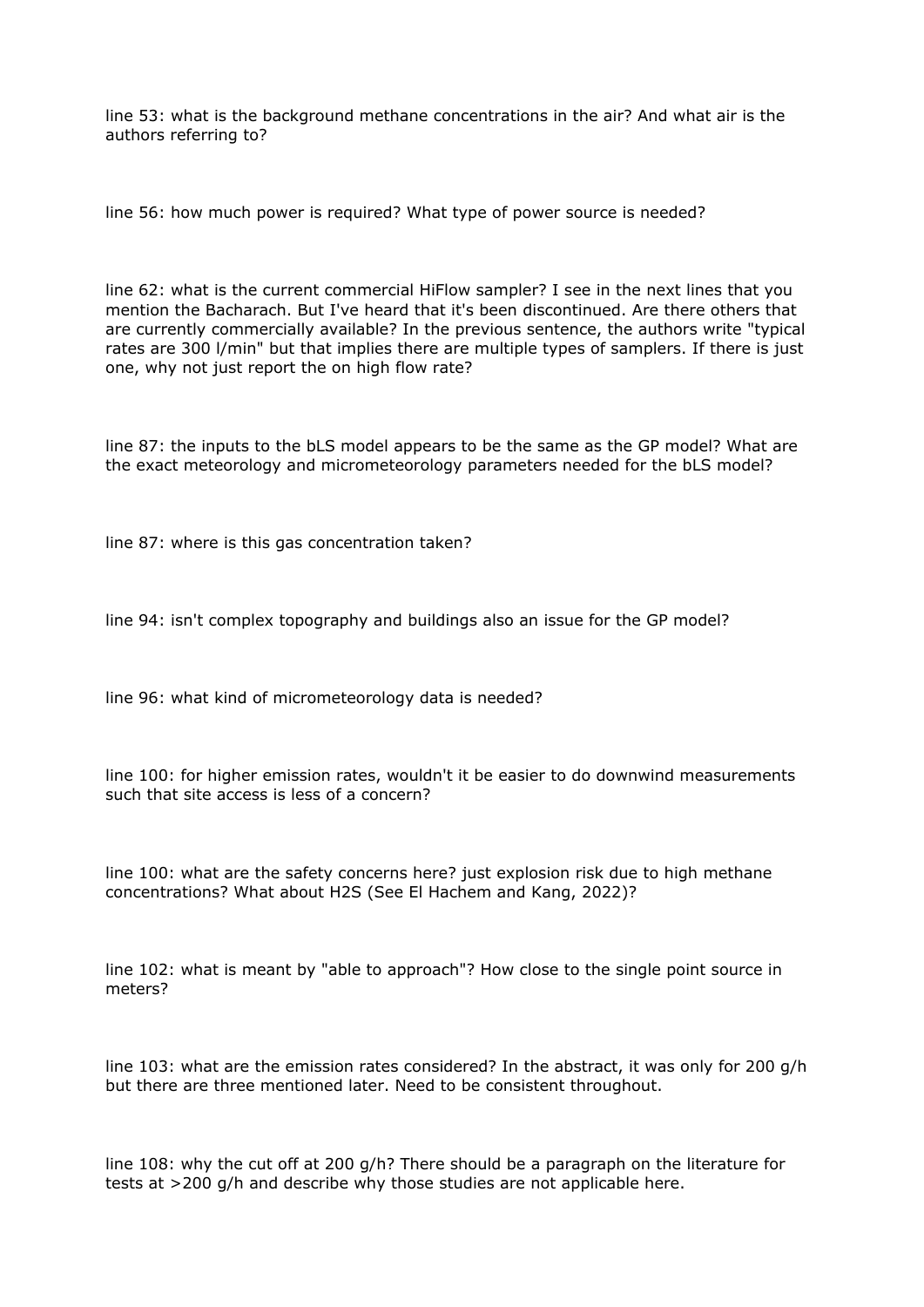line 53: what is the background methane concentrations in the air? And what air is the authors referring to?

line 56: how much power is required? What type of power source is needed?

line 62: what is the current commercial HiFlow sampler? I see in the next lines that you mention the Bacharach. But I've heard that it's been discontinued. Are there others that are currently commercially available? In the previous sentence, the authors write "typical rates are 300 l/min" but that implies there are multiple types of samplers. If there is just one, why not just report the on high flow rate?

line 87: the inputs to the bLS model appears to be the same as the GP model? What are the exact meteorology and micrometeorology parameters needed for the bLS model?

line 87: where is this gas concentration taken?

line 94: isn't complex topography and buildings also an issue for the GP model?

line 96: what kind of micrometeorology data is needed?

line 100: for higher emission rates, wouldn't it be easier to do downwind measurements such that site access is less of a concern?

line 100: what are the safety concerns here? just explosion risk due to high methane concentrations? What about H2S (See El Hachem and Kang, 2022)?

line 102: what is meant by "able to approach"? How close to the single point source in meters?

line 103: what are the emission rates considered? In the abstract, it was only for 200 g/h but there are three mentioned later. Need to be consistent throughout.

line 108: why the cut off at 200 g/h? There should be a paragraph on the literature for tests at >200 g/h and describe why those studies are not applicable here.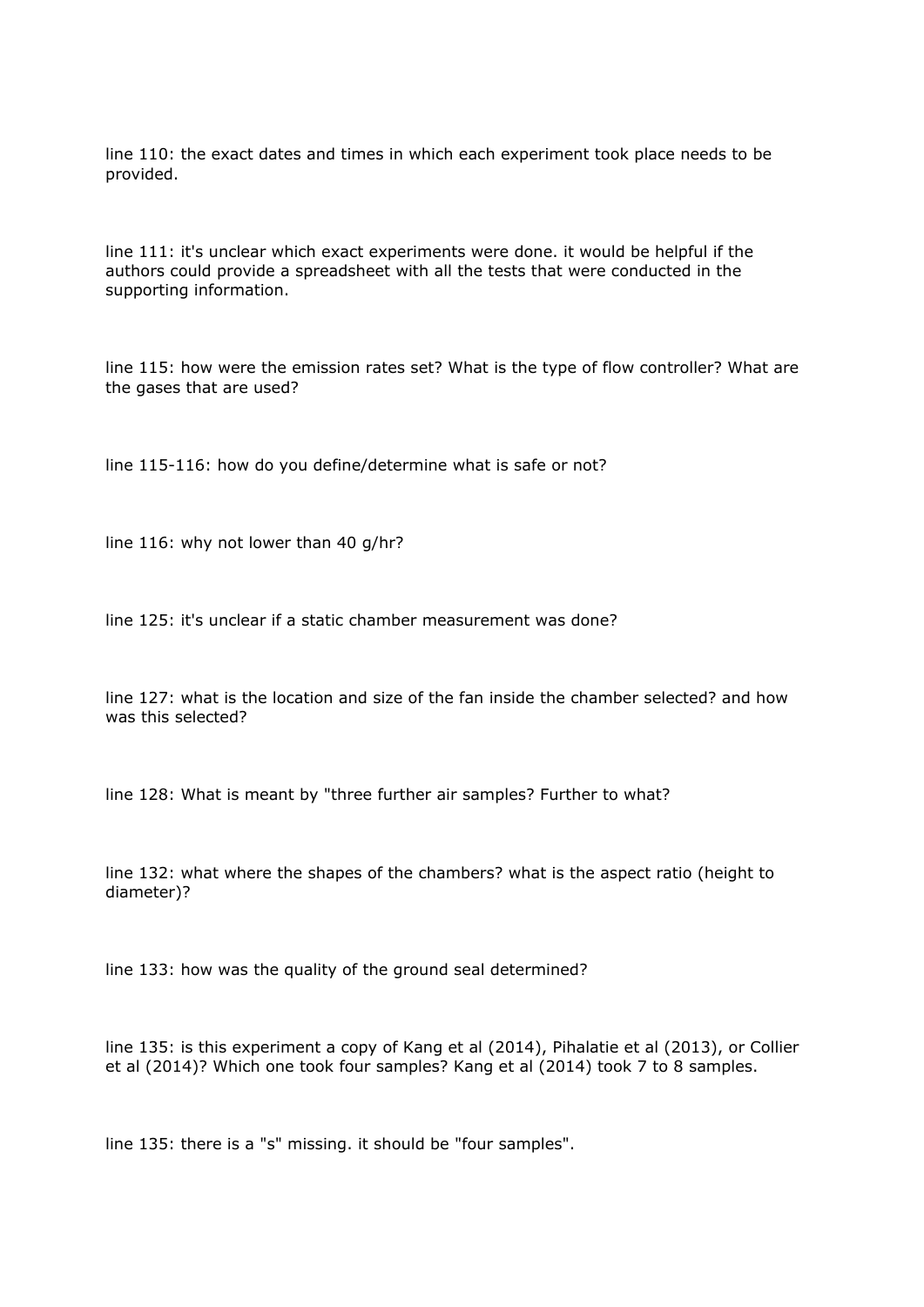line 110: the exact dates and times in which each experiment took place needs to be provided.

line 111: it's unclear which exact experiments were done. it would be helpful if the authors could provide a spreadsheet with all the tests that were conducted in the supporting information.

line 115: how were the emission rates set? What is the type of flow controller? What are the gases that are used?

line 115-116: how do you define/determine what is safe or not?

line 116: why not lower than 40 g/hr?

line 125: it's unclear if a static chamber measurement was done?

line 127: what is the location and size of the fan inside the chamber selected? and how was this selected?

line 128: What is meant by "three further air samples? Further to what?

line 132: what where the shapes of the chambers? what is the aspect ratio (height to diameter)?

line 133: how was the quality of the ground seal determined?

line 135: is this experiment a copy of Kang et al (2014), Pihalatie et al (2013), or Collier et al (2014)? Which one took four samples? Kang et al (2014) took 7 to 8 samples.

line 135: there is a "s" missing. it should be "four samples".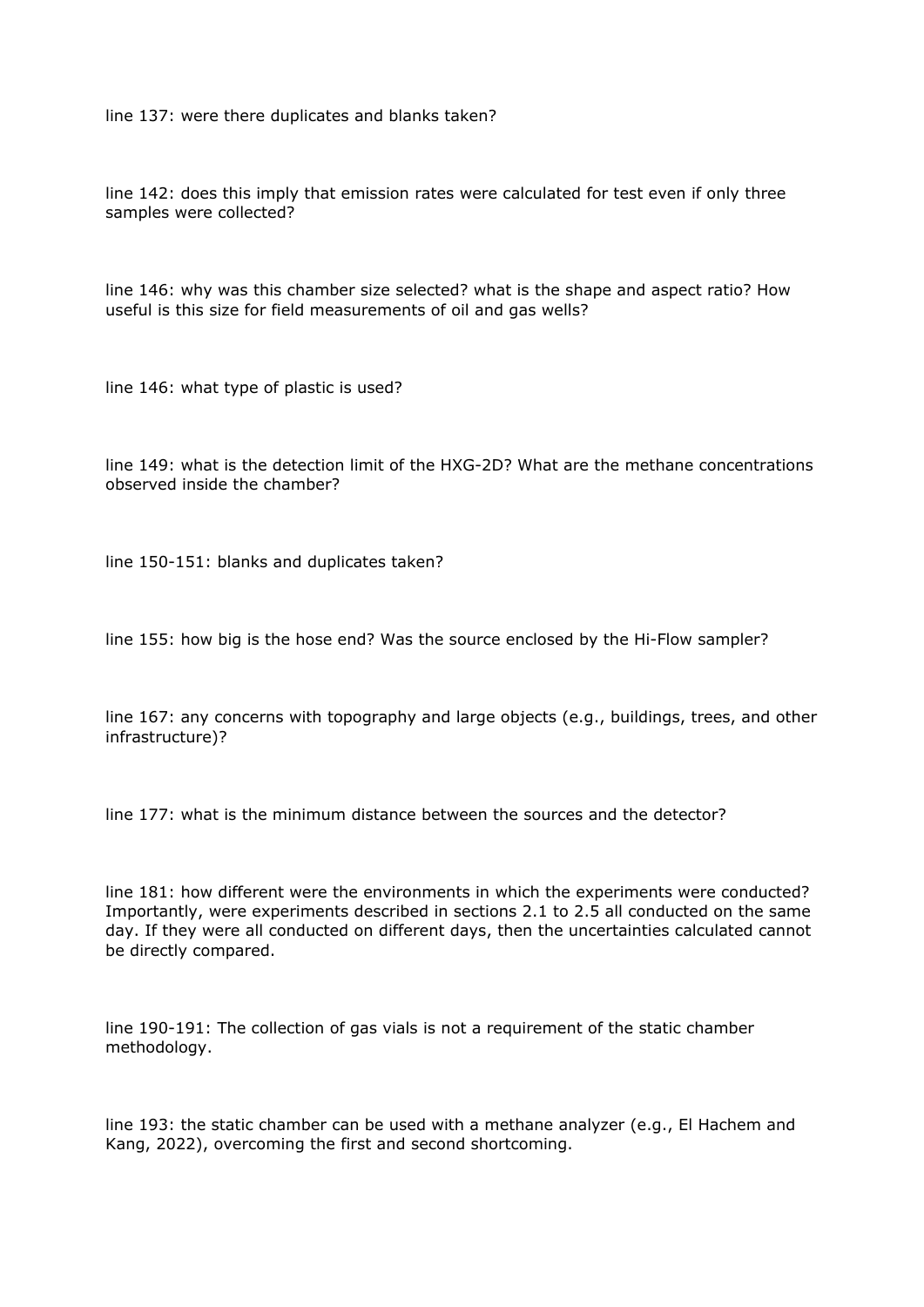line 137: were there duplicates and blanks taken?

line 142: does this imply that emission rates were calculated for test even if only three samples were collected?

line 146: why was this chamber size selected? what is the shape and aspect ratio? How useful is this size for field measurements of oil and gas wells?

line 146: what type of plastic is used?

line 149: what is the detection limit of the HXG-2D? What are the methane concentrations observed inside the chamber?

line 150-151: blanks and duplicates taken?

line 155: how big is the hose end? Was the source enclosed by the Hi-Flow sampler?

line 167: any concerns with topography and large objects (e.g., buildings, trees, and other infrastructure)?

line 177: what is the minimum distance between the sources and the detector?

line 181: how different were the environments in which the experiments were conducted? Importantly, were experiments described in sections 2.1 to 2.5 all conducted on the same day. If they were all conducted on different days, then the uncertainties calculated cannot be directly compared.

line 190-191: The collection of gas vials is not a requirement of the static chamber methodology.

line 193: the static chamber can be used with a methane analyzer (e.g., El Hachem and Kang, 2022), overcoming the first and second shortcoming.